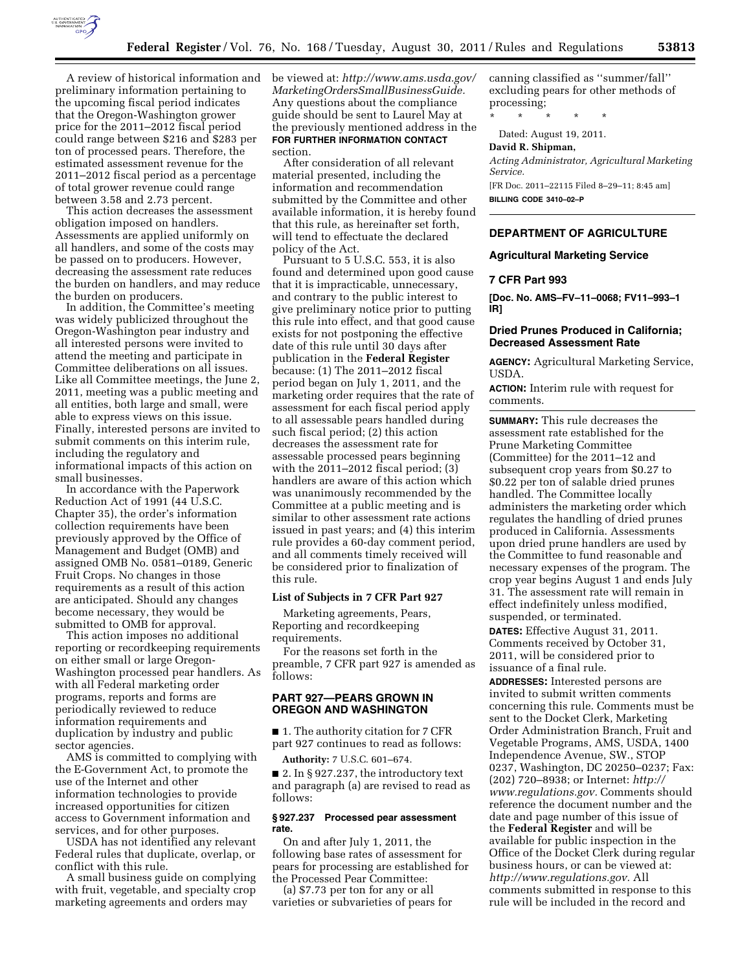

preliminary information pertaining to the upcoming fiscal period indicates that the Oregon-Washington grower price for the 2011–2012 fiscal period could range between \$216 and \$283 per ton of processed pears. Therefore, the estimated assessment revenue for the 2011–2012 fiscal period as a percentage of total grower revenue could range between 3.58 and 2.73 percent.

This action decreases the assessment obligation imposed on handlers. Assessments are applied uniformly on all handlers, and some of the costs may be passed on to producers. However, decreasing the assessment rate reduces the burden on handlers, and may reduce the burden on producers.

In addition, the Committee's meeting was widely publicized throughout the Oregon-Washington pear industry and all interested persons were invited to attend the meeting and participate in Committee deliberations on all issues. Like all Committee meetings, the June 2, 2011, meeting was a public meeting and all entities, both large and small, were able to express views on this issue. Finally, interested persons are invited to submit comments on this interim rule, including the regulatory and informational impacts of this action on small businesses.

In accordance with the Paperwork Reduction Act of 1991 (44 U.S.C. Chapter 35), the order's information collection requirements have been previously approved by the Office of Management and Budget (OMB) and assigned OMB No. 0581–0189, Generic Fruit Crops. No changes in those requirements as a result of this action are anticipated. Should any changes become necessary, they would be submitted to OMB for approval.

This action imposes no additional reporting or recordkeeping requirements on either small or large Oregon-Washington processed pear handlers. As with all Federal marketing order programs, reports and forms are periodically reviewed to reduce information requirements and duplication by industry and public sector agencies.

AMS is committed to complying with the E-Government Act, to promote the use of the Internet and other information technologies to provide increased opportunities for citizen access to Government information and services, and for other purposes.

USDA has not identified any relevant Federal rules that duplicate, overlap, or conflict with this rule.

A small business guide on complying with fruit, vegetable, and specialty crop marketing agreements and orders may

A review of historical information and be viewed at: *[http://www.ams.usda.gov/](http://www.ams.usda.gov/MarketingOrdersSmallBusinessGuide) [MarketingOrdersSmallBusinessGuide.](http://www.ams.usda.gov/MarketingOrdersSmallBusinessGuide)*  Any questions about the compliance guide should be sent to Laurel May at the previously mentioned address in the **FOR FURTHER INFORMATION CONTACT** section.

> After consideration of all relevant material presented, including the information and recommendation submitted by the Committee and other available information, it is hereby found that this rule, as hereinafter set forth, will tend to effectuate the declared policy of the Act.

> Pursuant to 5 U.S.C. 553, it is also found and determined upon good cause that it is impracticable, unnecessary, and contrary to the public interest to give preliminary notice prior to putting this rule into effect, and that good cause exists for not postponing the effective date of this rule until 30 days after publication in the **Federal Register**  because: (1) The 2011–2012 fiscal period began on July 1, 2011, and the marketing order requires that the rate of assessment for each fiscal period apply to all assessable pears handled during such fiscal period; (2) this action decreases the assessment rate for assessable processed pears beginning with the 2011–2012 fiscal period; (3) handlers are aware of this action which was unanimously recommended by the Committee at a public meeting and is similar to other assessment rate actions issued in past years; and (4) this interim rule provides a 60-day comment period, and all comments timely received will be considered prior to finalization of this rule.

#### **List of Subjects in 7 CFR Part 927**

Marketing agreements, Pears, Reporting and recordkeeping requirements.

For the reasons set forth in the preamble, 7 CFR part 927 is amended as follows:

## **PART 927—PEARS GROWN IN OREGON AND WASHINGTON**

■ 1. The authority citation for 7 CFR part 927 continues to read as follows:

**Authority:** 7 U.S.C. 601–674.

 $\blacksquare$  2. In § 927.237, the introductory text and paragraph (a) are revised to read as follows:

#### **§ 927.237 Processed pear assessment rate.**

On and after July 1, 2011, the following base rates of assessment for pears for processing are established for the Processed Pear Committee:

(a) \$7.73 per ton for any or all varieties or subvarieties of pears for canning classified as ''summer/fall'' excluding pears for other methods of processing;

\* \* \* \* \*

Dated: August 19, 2011.

#### **David R. Shipman,**

*Acting Administrator, Agricultural Marketing Service.* 

[FR Doc. 2011–22115 Filed 8–29–11; 8:45 am] **BILLING CODE 3410–02–P** 

#### **DEPARTMENT OF AGRICULTURE**

## **Agricultural Marketing Service**

#### **7 CFR Part 993**

**[Doc. No. AMS–FV–11–0068; FV11–993–1 IR]** 

# **Dried Prunes Produced in California; Decreased Assessment Rate**

**AGENCY:** Agricultural Marketing Service, USDA.

**ACTION:** Interim rule with request for comments.

**SUMMARY:** This rule decreases the assessment rate established for the Prune Marketing Committee (Committee) for the 2011–12 and subsequent crop years from \$0.27 to \$0.22 per ton of salable dried prunes handled. The Committee locally administers the marketing order which regulates the handling of dried prunes produced in California. Assessments upon dried prune handlers are used by the Committee to fund reasonable and necessary expenses of the program. The crop year begins August 1 and ends July 31. The assessment rate will remain in effect indefinitely unless modified, suspended, or terminated.

**DATES:** Effective August 31, 2011. Comments received by October 31, 2011, will be considered prior to issuance of a final rule.

**ADDRESSES:** Interested persons are invited to submit written comments concerning this rule. Comments must be sent to the Docket Clerk, Marketing Order Administration Branch, Fruit and Vegetable Programs, AMS, USDA, 1400 Independence Avenue, SW., STOP 0237, Washington, DC 20250–0237; Fax: (202) 720–8938; or Internet: *[http://](http://www.regulations.gov) [www.regulations.gov.](http://www.regulations.gov)* Comments should reference the document number and the date and page number of this issue of the **Federal Register** and will be available for public inspection in the Office of the Docket Clerk during regular business hours, or can be viewed at: *[http://www.regulations.gov.](http://www.regulations.gov)* All comments submitted in response to this rule will be included in the record and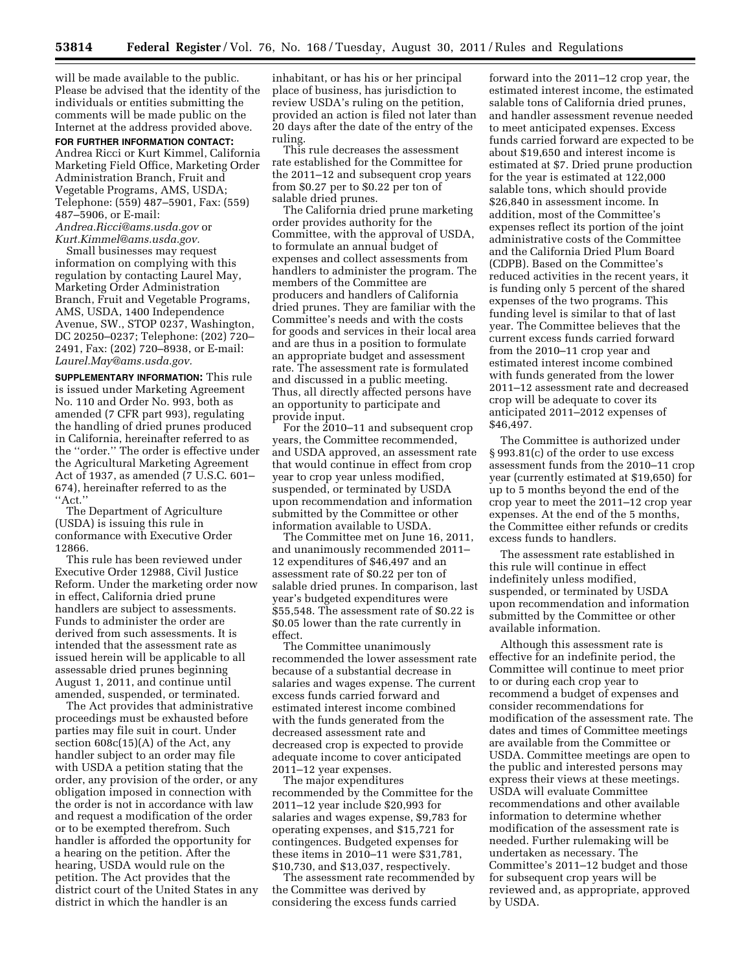will be made available to the public. Please be advised that the identity of the individuals or entities submitting the comments will be made public on the Internet at the address provided above.

## **FOR FURTHER INFORMATION CONTACT:**

Andrea Ricci or Kurt Kimmel, California Marketing Field Office, Marketing Order Administration Branch, Fruit and Vegetable Programs, AMS, USDA; Telephone: (559) 487–5901, Fax: (559) 487–5906, or E-mail:

*[Andrea.Ricci@ams.usda.gov](mailto:Andrea.Ricci@ams.usda.gov)* or *[Kurt.Kimmel@ams.usda.gov.](mailto:Kurt.Kimmel@ams.usda.gov)* 

Small businesses may request information on complying with this regulation by contacting Laurel May, Marketing Order Administration Branch, Fruit and Vegetable Programs, AMS, USDA, 1400 Independence Avenue, SW., STOP 0237, Washington, DC 20250–0237; Telephone: (202) 720– 2491, Fax: (202) 720–8938, or E-mail: *[Laurel.May@ams.usda.gov.](mailto:Laurel.May@ams.usda.gov)* 

**SUPPLEMENTARY INFORMATION:** This rule is issued under Marketing Agreement No. 110 and Order No. 993, both as amended (7 CFR part 993), regulating the handling of dried prunes produced in California, hereinafter referred to as the ''order.'' The order is effective under the Agricultural Marketing Agreement Act of 1937, as amended (7 U.S.C. 601– 674), hereinafter referred to as the ''Act.''

The Department of Agriculture (USDA) is issuing this rule in conformance with Executive Order 12866.

This rule has been reviewed under Executive Order 12988, Civil Justice Reform. Under the marketing order now in effect, California dried prune handlers are subject to assessments. Funds to administer the order are derived from such assessments. It is intended that the assessment rate as issued herein will be applicable to all assessable dried prunes beginning August 1, 2011, and continue until amended, suspended, or terminated.

The Act provides that administrative proceedings must be exhausted before parties may file suit in court. Under section 608c(15)(A) of the Act, any handler subject to an order may file with USDA a petition stating that the order, any provision of the order, or any obligation imposed in connection with the order is not in accordance with law and request a modification of the order or to be exempted therefrom. Such handler is afforded the opportunity for a hearing on the petition. After the hearing, USDA would rule on the petition. The Act provides that the district court of the United States in any district in which the handler is an

inhabitant, or has his or her principal place of business, has jurisdiction to review USDA's ruling on the petition, provided an action is filed not later than 20 days after the date of the entry of the ruling.

This rule decreases the assessment rate established for the Committee for the 2011–12 and subsequent crop years from \$0.27 per to \$0.22 per ton of salable dried prunes.

The California dried prune marketing order provides authority for the Committee, with the approval of USDA, to formulate an annual budget of expenses and collect assessments from handlers to administer the program. The members of the Committee are producers and handlers of California dried prunes. They are familiar with the Committee's needs and with the costs for goods and services in their local area and are thus in a position to formulate an appropriate budget and assessment rate. The assessment rate is formulated and discussed in a public meeting. Thus, all directly affected persons have an opportunity to participate and provide input.

For the 2010–11 and subsequent crop years, the Committee recommended, and USDA approved, an assessment rate that would continue in effect from crop year to crop year unless modified, suspended, or terminated by USDA upon recommendation and information submitted by the Committee or other information available to USDA.

The Committee met on June 16, 2011, and unanimously recommended 2011– 12 expenditures of \$46,497 and an assessment rate of \$0.22 per ton of salable dried prunes. In comparison, last year's budgeted expenditures were \$55,548. The assessment rate of \$0.22 is \$0.05 lower than the rate currently in effect.

The Committee unanimously recommended the lower assessment rate because of a substantial decrease in salaries and wages expense. The current excess funds carried forward and estimated interest income combined with the funds generated from the decreased assessment rate and decreased crop is expected to provide adequate income to cover anticipated 2011–12 year expenses.

The major expenditures recommended by the Committee for the 2011–12 year include \$20,993 for salaries and wages expense, \$9,783 for operating expenses, and \$15,721 for contingences. Budgeted expenses for these items in 2010–11 were \$31,781, \$10,730, and \$13,037, respectively.

The assessment rate recommended by the Committee was derived by considering the excess funds carried

forward into the 2011–12 crop year, the estimated interest income, the estimated salable tons of California dried prunes, and handler assessment revenue needed to meet anticipated expenses. Excess funds carried forward are expected to be about \$19,650 and interest income is estimated at \$7. Dried prune production for the year is estimated at 122,000 salable tons, which should provide \$26,840 in assessment income. In addition, most of the Committee's expenses reflect its portion of the joint administrative costs of the Committee and the California Dried Plum Board (CDPB). Based on the Committee's reduced activities in the recent years, it is funding only 5 percent of the shared expenses of the two programs. This funding level is similar to that of last year. The Committee believes that the current excess funds carried forward from the 2010–11 crop year and estimated interest income combined with funds generated from the lower 2011–12 assessment rate and decreased crop will be adequate to cover its anticipated 2011–2012 expenses of \$46,497.

The Committee is authorized under § 993.81(c) of the order to use excess assessment funds from the 2010–11 crop year (currently estimated at \$19,650) for up to 5 months beyond the end of the crop year to meet the 2011–12 crop year expenses. At the end of the 5 months, the Committee either refunds or credits excess funds to handlers.

The assessment rate established in this rule will continue in effect indefinitely unless modified, suspended, or terminated by USDA upon recommendation and information submitted by the Committee or other available information.

Although this assessment rate is effective for an indefinite period, the Committee will continue to meet prior to or during each crop year to recommend a budget of expenses and consider recommendations for modification of the assessment rate. The dates and times of Committee meetings are available from the Committee or USDA. Committee meetings are open to the public and interested persons may express their views at these meetings. USDA will evaluate Committee recommendations and other available information to determine whether modification of the assessment rate is needed. Further rulemaking will be undertaken as necessary. The Committee's 2011–12 budget and those for subsequent crop years will be reviewed and, as appropriate, approved by USDA.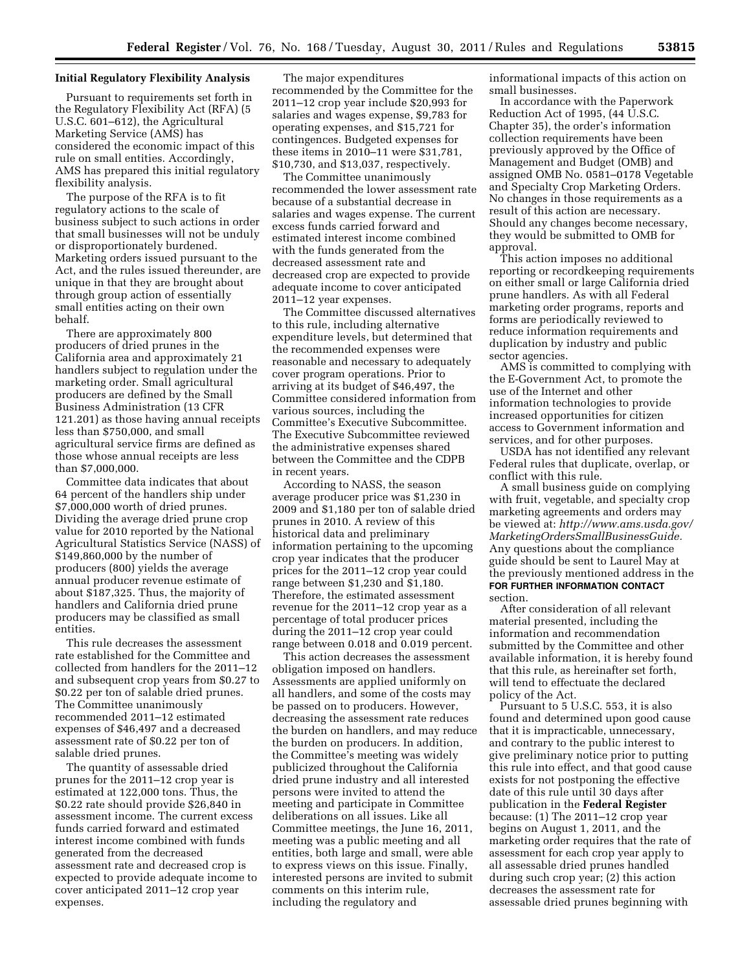## **Initial Regulatory Flexibility Analysis**

Pursuant to requirements set forth in the Regulatory Flexibility Act (RFA) (5 U.S.C. 601–612), the Agricultural Marketing Service (AMS) has considered the economic impact of this rule on small entities. Accordingly, AMS has prepared this initial regulatory flexibility analysis.

The purpose of the RFA is to fit regulatory actions to the scale of business subject to such actions in order that small businesses will not be unduly or disproportionately burdened. Marketing orders issued pursuant to the Act, and the rules issued thereunder, are unique in that they are brought about through group action of essentially small entities acting on their own behalf.

There are approximately 800 producers of dried prunes in the California area and approximately 21 handlers subject to regulation under the marketing order. Small agricultural producers are defined by the Small Business Administration (13 CFR 121.201) as those having annual receipts less than \$750,000, and small agricultural service firms are defined as those whose annual receipts are less than \$7,000,000.

Committee data indicates that about 64 percent of the handlers ship under \$7,000,000 worth of dried prunes. Dividing the average dried prune crop value for 2010 reported by the National Agricultural Statistics Service (NASS) of \$149,860,000 by the number of producers (800) yields the average annual producer revenue estimate of about \$187,325. Thus, the majority of handlers and California dried prune producers may be classified as small entities.

This rule decreases the assessment rate established for the Committee and collected from handlers for the 2011–12 and subsequent crop years from \$0.27 to \$0.22 per ton of salable dried prunes. The Committee unanimously recommended 2011–12 estimated expenses of \$46,497 and a decreased assessment rate of \$0.22 per ton of salable dried prunes.

The quantity of assessable dried prunes for the 2011–12 crop year is estimated at 122,000 tons. Thus, the \$0.22 rate should provide \$26,840 in assessment income. The current excess funds carried forward and estimated interest income combined with funds generated from the decreased assessment rate and decreased crop is expected to provide adequate income to cover anticipated 2011–12 crop year expenses.

The major expenditures recommended by the Committee for the 2011–12 crop year include \$20,993 for salaries and wages expense, \$9,783 for operating expenses, and \$15,721 for contingences. Budgeted expenses for these items in 2010–11 were \$31,781, \$10,730, and \$13,037, respectively.

The Committee unanimously recommended the lower assessment rate because of a substantial decrease in salaries and wages expense. The current excess funds carried forward and estimated interest income combined with the funds generated from the decreased assessment rate and decreased crop are expected to provide adequate income to cover anticipated 2011–12 year expenses.

The Committee discussed alternatives to this rule, including alternative expenditure levels, but determined that the recommended expenses were reasonable and necessary to adequately cover program operations. Prior to arriving at its budget of \$46,497, the Committee considered information from various sources, including the Committee's Executive Subcommittee. The Executive Subcommittee reviewed the administrative expenses shared between the Committee and the CDPB in recent years.

According to NASS, the season average producer price was \$1,230 in 2009 and \$1,180 per ton of salable dried prunes in 2010. A review of this historical data and preliminary information pertaining to the upcoming crop year indicates that the producer prices for the 2011–12 crop year could range between \$1,230 and \$1,180. Therefore, the estimated assessment revenue for the 2011–12 crop year as a percentage of total producer prices during the 2011–12 crop year could range between 0.018 and 0.019 percent.

This action decreases the assessment obligation imposed on handlers. Assessments are applied uniformly on all handlers, and some of the costs may be passed on to producers. However, decreasing the assessment rate reduces the burden on handlers, and may reduce the burden on producers. In addition, the Committee's meeting was widely publicized throughout the California dried prune industry and all interested persons were invited to attend the meeting and participate in Committee deliberations on all issues. Like all Committee meetings, the June 16, 2011, meeting was a public meeting and all entities, both large and small, were able to express views on this issue. Finally, interested persons are invited to submit comments on this interim rule, including the regulatory and

informational impacts of this action on small businesses.

In accordance with the Paperwork Reduction Act of 1995, (44 U.S.C. Chapter 35), the order's information collection requirements have been previously approved by the Office of Management and Budget (OMB) and assigned OMB No. 0581–0178 Vegetable and Specialty Crop Marketing Orders. No changes in those requirements as a result of this action are necessary. Should any changes become necessary, they would be submitted to OMB for approval.

This action imposes no additional reporting or recordkeeping requirements on either small or large California dried prune handlers. As with all Federal marketing order programs, reports and forms are periodically reviewed to reduce information requirements and duplication by industry and public sector agencies.

AMS is committed to complying with the E-Government Act, to promote the use of the Internet and other information technologies to provide increased opportunities for citizen access to Government information and services, and for other purposes.

USDA has not identified any relevant Federal rules that duplicate, overlap, or conflict with this rule.

A small business guide on complying with fruit, vegetable, and specialty crop marketing agreements and orders may be viewed at: *[http://www.ams.usda.gov/](http://www.ams.usda.gov/MarketingOrdersSmallBusinessGuide) [MarketingOrdersSmallBusinessGuide.](http://www.ams.usda.gov/MarketingOrdersSmallBusinessGuide)*  Any questions about the compliance guide should be sent to Laurel May at the previously mentioned address in the **FOR FURTHER INFORMATION CONTACT** section.

After consideration of all relevant material presented, including the information and recommendation submitted by the Committee and other available information, it is hereby found that this rule, as hereinafter set forth, will tend to effectuate the declared policy of the Act.

Pursuant to 5 U.S.C. 553, it is also found and determined upon good cause that it is impracticable, unnecessary, and contrary to the public interest to give preliminary notice prior to putting this rule into effect, and that good cause exists for not postponing the effective date of this rule until 30 days after publication in the **Federal Register**  because: (1) The 2011–12 crop year begins on August 1, 2011, and the marketing order requires that the rate of assessment for each crop year apply to all assessable dried prunes handled during such crop year; (2) this action decreases the assessment rate for assessable dried prunes beginning with